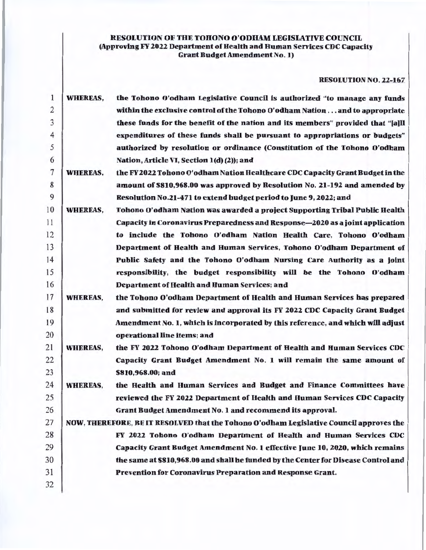# RESOLUTION OF THE TOHONO O'ODIIAM LEGISLATIVE COUNCIL (Approving FY 2022 Department of Health and Human Services CDC Capacity Grant Budget Amendment No. 1)

## RESOLUTION NO. 22-167

| 1              | <b>WHEREAS,</b> | the Tohono O'odham Legislative Council is authorized "to manage any funds               |
|----------------|-----------------|-----------------------------------------------------------------------------------------|
| $\overline{2}$ |                 | within the exclusive control of the Tohono O'odham Nation and to appropriate            |
| 3              |                 | these funds for the benefit of the nation and its members" provided that "[a]ll         |
| $\overline{4}$ |                 | expenditures of these funds shall be pursuant to appropriations or budgets"             |
| 5              |                 | authorized by resolution or ordinance (Constitution of the Tohono O'odham               |
| 6              |                 | Nation, Article VI, Section 1(d) (2)); and                                              |
| 7              | <b>WHEREAS,</b> | the FY 2022 Tohono O'odham Nation Healthcare CDC Capacity Grant Budget in the           |
| 8              |                 | amount of \$810,968.00 was approved by Resolution No. 21-192 and amended by             |
| 9              |                 | Resolution No.21-471 to extend hudget period to June 9, 2022; and                       |
| 10             | <b>WHEREAS,</b> | Tohono O'odham Nation was awarded a project Supporting Tribal Public Health             |
| 11             |                 | Capacity in Coronavirus Preparedness and Response-2020 as a joint application           |
| 12             |                 | to include the Tohono O'odham Nation Health Care, Tohono O'odham                        |
| 13             |                 | Department of Health and Human Services, Tohono O'odham Department of                   |
| 14             |                 | Public Safety and the Tohono O'odham Nursing Care Authority as a joint                  |
| 15             |                 | responsibility, the budget responsibility will be the Tohono O'odham                    |
| 16             |                 | <b>Department of Health and Human Services; and</b>                                     |
| 17             | <b>WHEREAS,</b> | the Tohono O'odham Department of Health and Human Services has prepared                 |
| 18             |                 | and submitted for review and approval its FY 2022 CDC Capacity Grant Budget             |
| 19             |                 | Amendment No. 1, which is incorporated by this reference, and which will adjust         |
| 20             |                 | operational line items; and                                                             |
| 21             | <b>WHEREAS,</b> | the FY 2022 Tohono O'odham Department of Health and Human Services CDC                  |
| 22             |                 | Capacity Grant Budget Amendment No. 1 will remain the same amount of                    |
| 23             |                 | \$810,968.00; and                                                                       |
| 24             | <b>WHEREAS,</b> | the Health and Human Services and Budget and Finance Committees have                    |
| 25             |                 | reviewed the FY 2022 Department of Health and Human Services CDC Capacity               |
| 26             |                 | Grant Budget Amendment No. 1 and recommend its approval.                                |
| 27             |                 | NOW, THEREFORE, BE IT RESOLVED that the Tohono O'odham Legislative Council approves the |
| 28             |                 | FY 2022 Tohono O'odham Department of Health and Human Services CDC                      |
| 29             |                 | Capacity Grant Budget Amendment No. 1 effective June 10, 2020, which remains            |
| 30             |                 | the same at \$810,968.00 and shall he funded by the Center for Disease Control and      |
| 31             |                 | Prevention for Coronavirus Preparation and Response Grant.                              |
| 32             |                 |                                                                                         |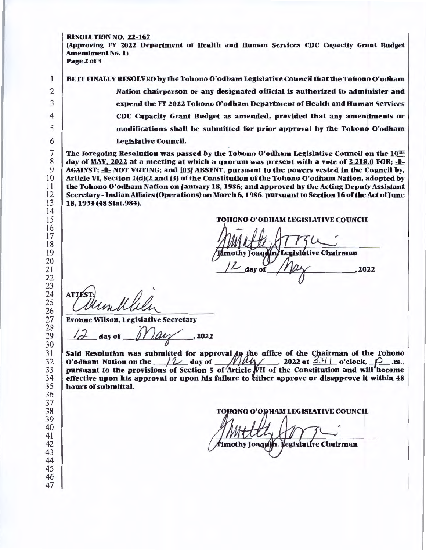RESOLUTION NO. 22-167

(Approving FY 2022 Department of Health and Human Services CDC Capacity Grant Budget Amendment No. 1) Page 2 of 3

BE IT FINALLY RESOLVED by the Tohono O'odham Legislative Council that the Tohono O'odham

Nation chairperson or any designated official is authorized to administer and expend the FY 2022 Tohono O'odham Department of Health and Human Services CDC Capacity Grant Budget as amended, provided that any amendments or modifications shall be submitted for prior approval by the Tohono O'odham Legislative Council.

The foregoing Resolution was passed by the Tohono O'odham Legislative Council on the  $10^{TH}$ day of MAY, 2022 at a meeting at which a quorum was present with a vote of 3,218.0 FOR; -0-AGAINST: -0- NOT VOTING; and [03] ABSENT, pursuant to the powers vested in the Council by, Article VI, Section 1(d)(2 and (3) of the Constitution of the Tohono O'odham Nation, adopted by the Tohono O'odham Nation on January 18, 1986; and approved by the Acting Deputy Assistant Secretary- Indian Affairs (Operations) on March 6, 1986, pursuant to Section 16 of the Act of June 18, 1934 (48 Stat.984).

TOHONO O'ODHAM LEGISLATIVE COUNCIL

mothy Joaquín/Legislátive Chairman dav of 

**ATTE** 

Evonne Wilson, Legislative Secretary

day of  $N$   $\mu$  , 2022

Said Resolution was submitted for approval  $fg$  the office of the Chairman of the Tohono O'odham Nation on the  $/2$  day of  $/2/4$ , 2022 at  $3/4/1$  o'clock,  $\rho$  .m., pursuant to the provisions of Section 5 of Article  $NII$  of the Constitution and will become effective upon his approval or upon his failure to either approve or disapprove it within 48 hours of submittal.

**IONO O'ODHAM LEGISLATIVE COUNCIL** 

imothy Joaquin, legislative Chairman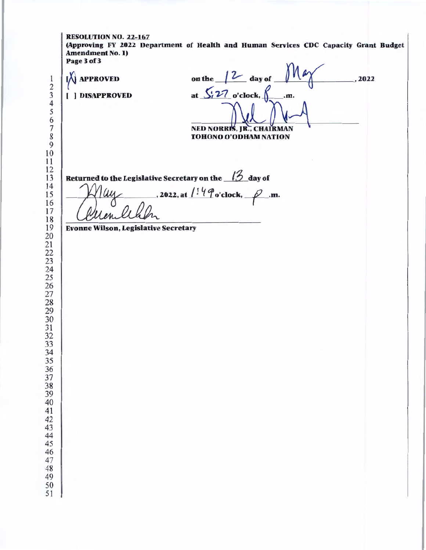RESOLUTION NO. 22-167 (Approving FY 2022 Department of Health and Human Services CDC Capacity Grant Budget Amendment No. 1) Page3of3 on the  $/2$  day of at  $\frac{\sqrt{27}}{20}$  o'clock,  $\int$  .m. NED NORRIS, IR., CHAIRMAN **APPROVED** ( ] DISAPPROVED ,2022 TOHONO O'ODHAM NATION Returned to the Legislative Secretary on the  $\beta$  day of 2022, at  $1!4\degree$ o'clock,  $\curvearrowright$ .m. Evonne Wilson, Legislative Secretary